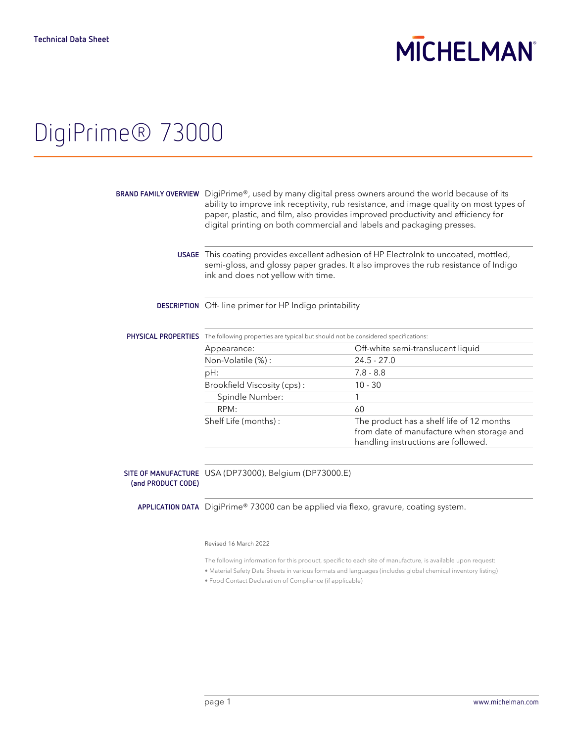# **MICHELMAN**

## DigiPrime® 73000

|                     | BRAND FAMILY OVERVIEW $\,$ DigiPrime®, used by many digital press owners around the world because of its<br>ability to improve ink receptivity, rub resistance, and image quality on most types of<br>paper, plastic, and film, also provides improved productivity and efficiency for<br>digital printing on both commercial and labels and packaging presses. |                                                                                                                               |
|---------------------|-----------------------------------------------------------------------------------------------------------------------------------------------------------------------------------------------------------------------------------------------------------------------------------------------------------------------------------------------------------------|-------------------------------------------------------------------------------------------------------------------------------|
|                     | USAGE This coating provides excellent adhesion of HP Electrolnk to uncoated, mottled,<br>semi-gloss, and glossy paper grades. It also improves the rub resistance of Indigo<br>ink and does not yellow with time.                                                                                                                                               |                                                                                                                               |
|                     | DESCRIPTION Off-line primer for HP Indigo printability                                                                                                                                                                                                                                                                                                          |                                                                                                                               |
| PHYSICAL PROPERTIES | The following properties are typical but should not be considered specifications:                                                                                                                                                                                                                                                                               |                                                                                                                               |
|                     | Appearance:                                                                                                                                                                                                                                                                                                                                                     | Off-white semi-translucent liquid                                                                                             |
|                     | Non-Volatile (%):                                                                                                                                                                                                                                                                                                                                               | $24.5 - 27.0$                                                                                                                 |
|                     | pH:                                                                                                                                                                                                                                                                                                                                                             | $7.8 - 8.8$                                                                                                                   |
|                     | Brookfield Viscosity (cps):                                                                                                                                                                                                                                                                                                                                     | $10 - 30$                                                                                                                     |
|                     | Spindle Number:                                                                                                                                                                                                                                                                                                                                                 | 1                                                                                                                             |
|                     | RPM:                                                                                                                                                                                                                                                                                                                                                            | 60                                                                                                                            |
|                     | Shelf Life (months):                                                                                                                                                                                                                                                                                                                                            | The product has a shelf life of 12 months<br>from date of manufacture when storage and<br>handling instructions are followed. |
|                     |                                                                                                                                                                                                                                                                                                                                                                 |                                                                                                                               |

**SITE OF MANUFACTURE** USA (DP73000), Belgium (DP73000.E) **(and PRODUCT CODE)**

**APPLICATION DATA** DigiPrime® 73000 can be applied via flexo, gravure, coating system.

### Revised 16 March 2022

The following information for this product, specific to each site of manufacture, is available upon request:

• Material Safety Data Sheets in various formats and languages (includes global chemical inventory listing)

• Food Contact Declaration of Compliance (if applicable)